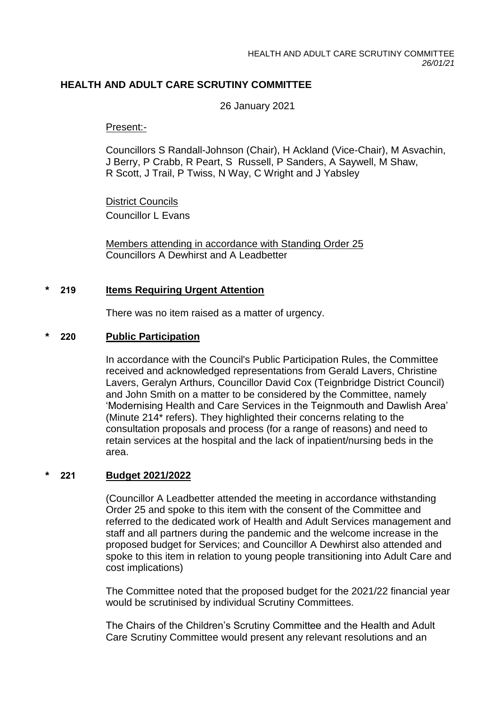## **HEALTH AND ADULT CARE SCRUTINY COMMITTEE**

26 January 2021

Present:-

Councillors S Randall-Johnson (Chair), H Ackland (Vice-Chair), M Asvachin, J Berry, P Crabb, R Peart, S Russell, P Sanders, A Saywell, M Shaw, R Scott, J Trail, P Twiss, N Way, C Wright and J Yabsley

District Councils Councillor L Evans

Members attending in accordance with Standing Order 25 Councillors A Dewhirst and A Leadbetter

## **\* 219 Items Requiring Urgent Attention**

There was no item raised as a matter of urgency.

### **\* 220 Public Participation**

In accordance with the Council's Public Participation Rules, the Committee received and acknowledged representations from Gerald Lavers, Christine Lavers, Geralyn Arthurs, Councillor David Cox (Teignbridge District Council) and John Smith on a matter to be considered by the Committee, namely 'Modernising Health and Care Services in the Teignmouth and Dawlish Area' (Minute 214\* refers). They highlighted their concerns relating to the consultation proposals and process (for a range of reasons) and need to retain services at the hospital and the lack of inpatient/nursing beds in the area.

### **\* 221 Budget 2021/2022**

(Councillor A Leadbetter attended the meeting in accordance withstanding Order 25 and spoke to this item with the consent of the Committee and referred to the dedicated work of Health and Adult Services management and staff and all partners during the pandemic and the welcome increase in the proposed budget for Services; and Councillor A Dewhirst also attended and spoke to this item in relation to young people transitioning into Adult Care and cost implications)

The Committee noted that the proposed budget for the 2021/22 financial year would be scrutinised by individual Scrutiny Committees.

The Chairs of the Children's Scrutiny Committee and the Health and Adult Care Scrutiny Committee would present any relevant resolutions and an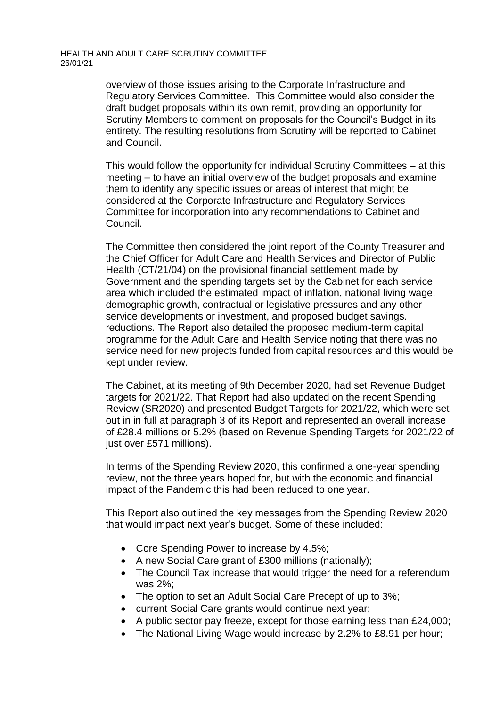#### HEALTH AND ADULT CARE SCRUTINY COMMITTEE 26/01/21

overview of those issues arising to the Corporate Infrastructure and Regulatory Services Committee. This Committee would also consider the draft budget proposals within its own remit, providing an opportunity for Scrutiny Members to comment on proposals for the Council's Budget in its entirety. The resulting resolutions from Scrutiny will be reported to Cabinet and Council.

This would follow the opportunity for individual Scrutiny Committees – at this meeting – to have an initial overview of the budget proposals and examine them to identify any specific issues or areas of interest that might be considered at the Corporate Infrastructure and Regulatory Services Committee for incorporation into any recommendations to Cabinet and Council.

The Committee then considered the joint report of the County Treasurer and the Chief Officer for Adult Care and Health Services and Director of Public Health (CT/21/04) on the provisional financial settlement made by Government and the spending targets set by the Cabinet for each service area which included the estimated impact of inflation, national living wage, demographic growth, contractual or legislative pressures and any other service developments or investment, and proposed budget savings. reductions. The Report also detailed the proposed medium-term capital programme for the Adult Care and Health Service noting that there was no service need for new projects funded from capital resources and this would be kept under review.

The Cabinet, at its meeting of 9th December 2020, had set Revenue Budget targets for 2021/22. That Report had also updated on the recent Spending Review (SR2020) and presented Budget Targets for 2021/22, which were set out in in full at paragraph 3 of its Report and represented an overall increase of £28.4 millions or 5.2% (based on Revenue Spending Targets for 2021/22 of just over £571 millions).

In terms of the Spending Review 2020, this confirmed a one-year spending review, not the three years hoped for, but with the economic and financial impact of the Pandemic this had been reduced to one year.

This Report also outlined the key messages from the Spending Review 2020 that would impact next year's budget. Some of these included:

- Core Spending Power to increase by 4.5%;
- A new Social Care grant of £300 millions (nationally);
- The Council Tax increase that would trigger the need for a referendum was 2%;
- The option to set an Adult Social Care Precept of up to 3%;
- current Social Care grants would continue next year;
- A public sector pay freeze, except for those earning less than £24,000;
- The National Living Wage would increase by 2.2% to £8.91 per hour;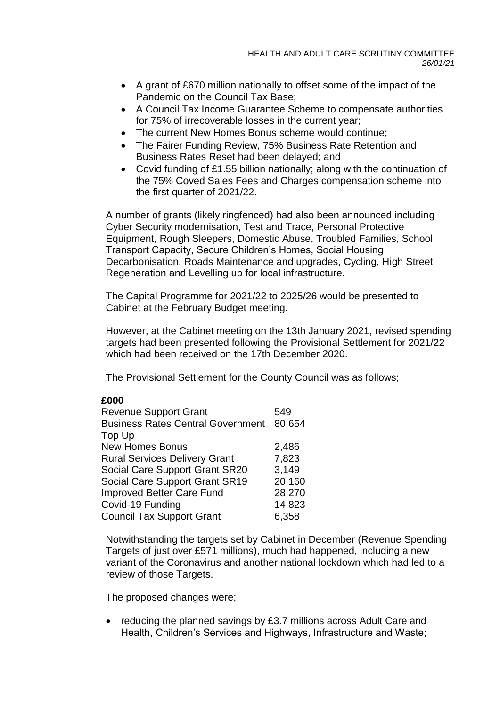- A grant of £670 million nationally to offset some of the impact of the Pandemic on the Council Tax Base;
- A Council Tax Income Guarantee Scheme to compensate authorities for 75% of irrecoverable losses in the current year;
- The current New Homes Bonus scheme would continue;
- The Fairer Funding Review, 75% Business Rate Retention and Business Rates Reset had been delayed; and
- Covid funding of £1.55 billion nationally; along with the continuation of the 75% Coved Sales Fees and Charges compensation scheme into the first quarter of 2021/22.

A number of grants (likely ringfenced) had also been announced including Cyber Security modernisation, Test and Trace, Personal Protective Equipment, Rough Sleepers, Domestic Abuse, Troubled Families, School Transport Capacity, Secure Children's Homes, Social Housing Decarbonisation, Roads Maintenance and upgrades, Cycling, High Street Regeneration and Levelling up for local infrastructure.

The Capital Programme for 2021/22 to 2025/26 would be presented to Cabinet at the February Budget meeting.

However, at the Cabinet meeting on the 13th January 2021, revised spending targets had been presented following the Provisional Settlement for 2021/22 which had been received on the 17th December 2020.

The Provisional Settlement for the County Council was as follows;

# **£000**

| <b>Revenue Support Grant</b>             | 549    |
|------------------------------------------|--------|
| <b>Business Rates Central Government</b> | 80.654 |
| Top Up                                   |        |
| <b>New Homes Bonus</b>                   | 2,486  |
| <b>Rural Services Delivery Grant</b>     | 7,823  |
| Social Care Support Grant SR20           | 3,149  |
| Social Care Support Grant SR19           | 20,160 |
| Improved Better Care Fund                | 28,270 |
| Covid-19 Funding                         | 14,823 |
| <b>Council Tax Support Grant</b>         | 6,358  |

Notwithstanding the targets set by Cabinet in December (Revenue Spending Targets of just over £571 millions), much had happened, including a new variant of the Coronavirus and another national lockdown which had led to a review of those Targets.

The proposed changes were;

• reducing the planned savings by £3.7 millions across Adult Care and Health, Children's Services and Highways, Infrastructure and Waste;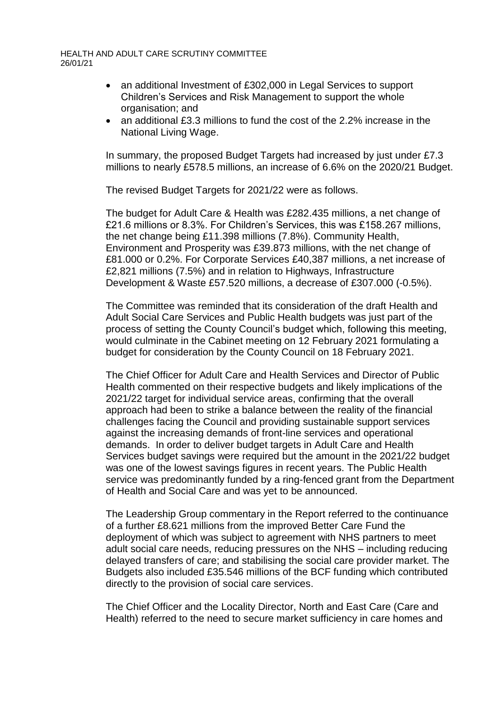#### HEALTH AND ADULT CARE SCRUTINY COMMITTEE 26/01/21

- an additional Investment of £302,000 in Legal Services to support Children's Services and Risk Management to support the whole organisation; and
- an additional £3.3 millions to fund the cost of the 2.2% increase in the National Living Wage.

In summary, the proposed Budget Targets had increased by just under £7.3 millions to nearly £578.5 millions, an increase of 6.6% on the 2020/21 Budget.

The revised Budget Targets for 2021/22 were as follows.

The budget for Adult Care & Health was £282.435 millions, a net change of £21.6 millions or 8.3%. For Children's Services, this was £158.267 millions, the net change being £11.398 millions (7.8%). Community Health, Environment and Prosperity was £39.873 millions, with the net change of £81.000 or 0.2%. For Corporate Services £40,387 millions, a net increase of £2,821 millions (7.5%) and in relation to Highways, Infrastructure Development & Waste £57.520 millions, a decrease of £307.000 (-0.5%).

The Committee was reminded that its consideration of the draft Health and Adult Social Care Services and Public Health budgets was just part of the process of setting the County Council's budget which, following this meeting, would culminate in the Cabinet meeting on 12 February 2021 formulating a budget for consideration by the County Council on 18 February 2021.

The Chief Officer for Adult Care and Health Services and Director of Public Health commented on their respective budgets and likely implications of the 2021/22 target for individual service areas, confirming that the overall approach had been to strike a balance between the reality of the financial challenges facing the Council and providing sustainable support services against the increasing demands of front-line services and operational demands. In order to deliver budget targets in Adult Care and Health Services budget savings were required but the amount in the 2021/22 budget was one of the lowest savings figures in recent years. The Public Health service was predominantly funded by a ring-fenced grant from the Department of Health and Social Care and was yet to be announced.

The Leadership Group commentary in the Report referred to the continuance of a further £8.621 millions from the improved Better Care Fund the deployment of which was subject to agreement with NHS partners to meet adult social care needs, reducing pressures on the NHS – including reducing delayed transfers of care; and stabilising the social care provider market. The Budgets also included £35.546 millions of the BCF funding which contributed directly to the provision of social care services.

The Chief Officer and the Locality Director, North and East Care (Care and Health) referred to the need to secure market sufficiency in care homes and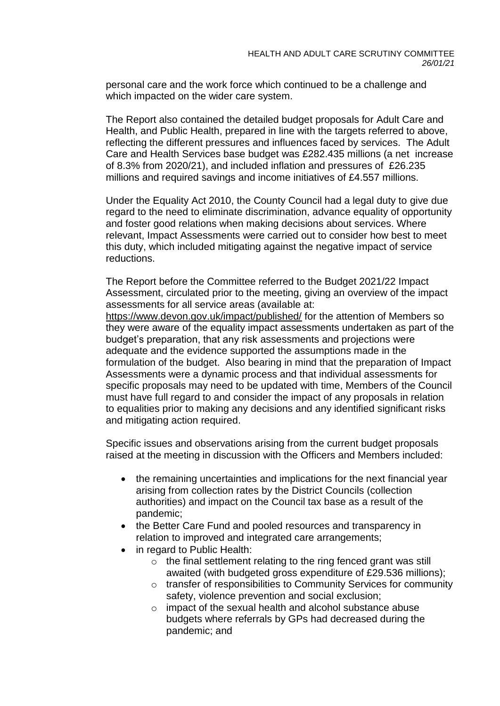personal care and the work force which continued to be a challenge and which impacted on the wider care system.

The Report also contained the detailed budget proposals for Adult Care and Health, and Public Health, prepared in line with the targets referred to above, reflecting the different pressures and influences faced by services. The Adult Care and Health Services base budget was £282.435 millions (a net increase of 8.3% from 2020/21), and included inflation and pressures of £26.235 millions and required savings and income initiatives of £4.557 millions.

Under the Equality Act 2010, the County Council had a legal duty to give due regard to the need to eliminate discrimination, advance equality of opportunity and foster good relations when making decisions about services. Where relevant, Impact Assessments were carried out to consider how best to meet this duty, which included mitigating against the negative impact of service reductions.

The Report before the Committee referred to the Budget 2021/22 Impact Assessment, circulated prior to the meeting, giving an overview of the impact assessments for all service areas (available at:

<https://www.devon.gov.uk/impact/published/> for the attention of Members so they were aware of the equality impact assessments undertaken as part of the budget's preparation, that any risk assessments and projections were adequate and the evidence supported the assumptions made in the formulation of the budget. Also bearing in mind that the preparation of Impact Assessments were a dynamic process and that individual assessments for specific proposals may need to be updated with time, Members of the Council must have full regard to and consider the impact of any proposals in relation to equalities prior to making any decisions and any identified significant risks and mitigating action required.

Specific issues and observations arising from the current budget proposals raised at the meeting in discussion with the Officers and Members included:

- the remaining uncertainties and implications for the next financial year arising from collection rates by the District Councils (collection authorities) and impact on the Council tax base as a result of the pandemic;
- the Better Care Fund and pooled resources and transparency in relation to improved and integrated care arrangements;
- in regard to Public Health:
	- o the final settlement relating to the ring fenced grant was still awaited (with budgeted gross expenditure of £29.536 millions);
	- o transfer of responsibilities to Community Services for community safety, violence prevention and social exclusion;
	- o impact of the sexual health and alcohol substance abuse budgets where referrals by GPs had decreased during the pandemic; and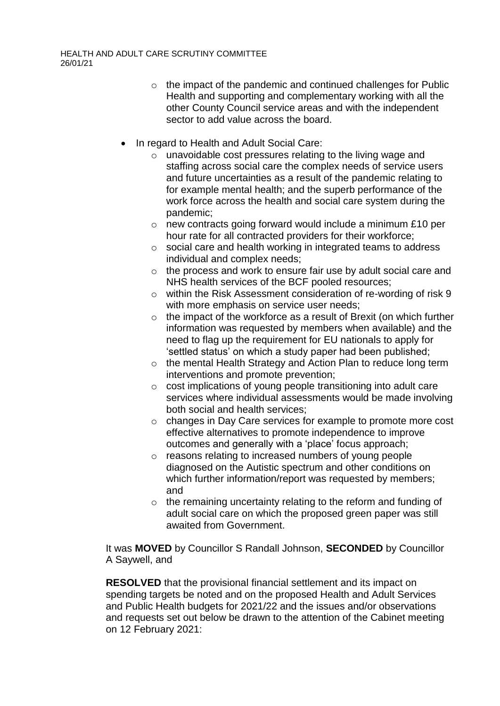- o the impact of the pandemic and continued challenges for Public Health and supporting and complementary working with all the other County Council service areas and with the independent sector to add value across the board.
- In regard to Health and Adult Social Care:
	- o unavoidable cost pressures relating to the living wage and staffing across social care the complex needs of service users and future uncertainties as a result of the pandemic relating to for example mental health; and the superb performance of the work force across the health and social care system during the pandemic;
	- o new contracts going forward would include a minimum £10 per hour rate for all contracted providers for their workforce;
	- o social care and health working in integrated teams to address individual and complex needs;
	- o the process and work to ensure fair use by adult social care and NHS health services of the BCF pooled resources;
	- o within the Risk Assessment consideration of re-wording of risk 9 with more emphasis on service user needs;
	- $\circ$  the impact of the workforce as a result of Brexit (on which further information was requested by members when available) and the need to flag up the requirement for EU nationals to apply for 'settled status' on which a study paper had been published;
	- o the mental Health Strategy and Action Plan to reduce long term interventions and promote prevention;
	- o cost implications of young people transitioning into adult care services where individual assessments would be made involving both social and health services;
	- o changes in Day Care services for example to promote more cost effective alternatives to promote independence to improve outcomes and generally with a 'place' focus approach;
	- o reasons relating to increased numbers of young people diagnosed on the Autistic spectrum and other conditions on which further information/report was requested by members; and
	- o the remaining uncertainty relating to the reform and funding of adult social care on which the proposed green paper was still awaited from Government.

It was **MOVED** by Councillor S Randall Johnson, **SECONDED** by Councillor A Saywell, and

**RESOLVED** that the provisional financial settlement and its impact on spending targets be noted and on the proposed Health and Adult Services and Public Health budgets for 2021/22 and the issues and/or observations and requests set out below be drawn to the attention of the Cabinet meeting on 12 February 2021: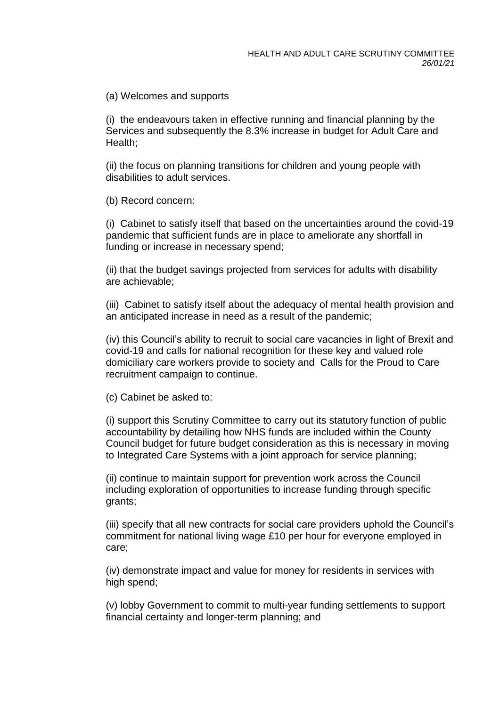(a) Welcomes and supports

(i) the endeavours taken in effective running and financial planning by the Services and subsequently the 8.3% increase in budget for Adult Care and Health;

(ii) the focus on planning transitions for children and young people with disabilities to adult services.

(b) Record concern:

(i) Cabinet to satisfy itself that based on the uncertainties around the covid-19 pandemic that sufficient funds are in place to ameliorate any shortfall in funding or increase in necessary spend;

(ii) that the budget savings projected from services for adults with disability are achievable;

(iii) Cabinet to satisfy itself about the adequacy of mental health provision and an anticipated increase in need as a result of the pandemic;

(iv) this Council's ability to recruit to social care vacancies in light of Brexit and covid-19 and calls for national recognition for these key and valued role domiciliary care workers provide to society and Calls for the Proud to Care recruitment campaign to continue.

(c) Cabinet be asked to:

(i) support this Scrutiny Committee to carry out its statutory function of public accountability by detailing how NHS funds are included within the County Council budget for future budget consideration as this is necessary in moving to Integrated Care Systems with a joint approach for service planning;

(ii) continue to maintain support for prevention work across the Council including exploration of opportunities to increase funding through specific grants;

(iii) specify that all new contracts for social care providers uphold the Council's commitment for national living wage £10 per hour for everyone employed in care;

(iv) demonstrate impact and value for money for residents in services with high spend;

(v) lobby Government to commit to multi-year funding settlements to support financial certainty and longer-term planning; and